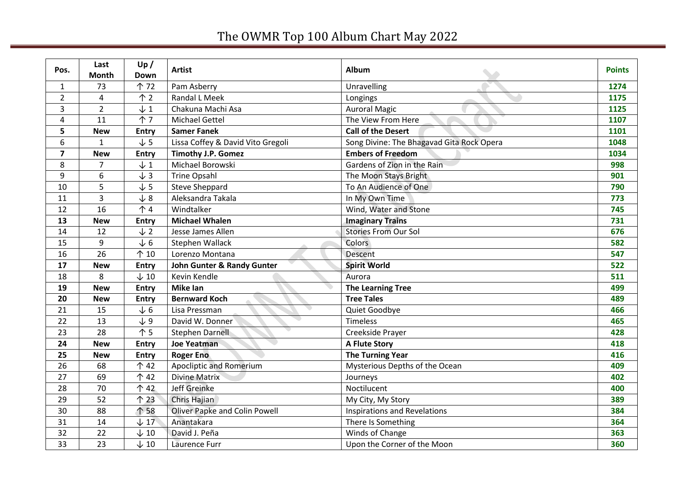## The OWMR Top 100 Album Chart May 2022

| Pos.           | Last<br><b>Month</b> | Up/<br>Down     | <b>Artist</b>                         | Album                                     | <b>Points</b> |
|----------------|----------------------|-----------------|---------------------------------------|-------------------------------------------|---------------|
| $\mathbf{1}$   | 73                   | 个 72            | Pam Asberry                           | Unravelling                               | 1274          |
| $\overline{2}$ | $\overline{4}$       | $\uparrow$ 2    | <b>Randal L Meek</b>                  | Longings                                  | 1175          |
| 3              | $\overline{2}$       | $\downarrow$ 1  | Chakuna Machi Asa                     | <b>Auroral Magic</b>                      | 1125          |
| 4              | 11                   | $\uparrow$ 7    | <b>Michael Gettel</b>                 | The View From Here                        | 1107          |
| 5              | <b>New</b>           | <b>Entry</b>    | <b>Samer Fanek</b>                    | <b>Call of the Desert</b>                 | 1101          |
| 6              | $\mathbf{1}$         | $\sqrt{5}$      | Lissa Coffey & David Vito Gregoli     | Song Divine: The Bhagavad Gita Rock Opera | 1048          |
| $\overline{7}$ | <b>New</b>           | <b>Entry</b>    | <b>Timothy J.P. Gomez</b>             | <b>Embers of Freedom</b>                  | 1034          |
| 8              | $\overline{7}$       | $\downarrow$ 1  | Michael Borowski                      | Gardens of Zion in the Rain               | 998           |
| 9              | 6                    | $\downarrow$ 3  | Trine Opsahl                          | The Moon Stays Bright                     | 901           |
| 10             | 5                    | $\sqrt{5}$      | <b>Steve Sheppard</b>                 | To An Audience of One                     | 790           |
| 11             | $\overline{3}$       | $\sqrt{8}$      | Aleksandra Takala                     | In My Own Time                            | 773           |
| 12             | 16                   | $\uparrow$ 4    | Windtalker                            | Wind, Water and Stone                     | 745           |
| 13             | <b>New</b>           | <b>Entry</b>    | <b>Michael Whalen</b>                 | <b>Imaginary Trains</b>                   | 731           |
| 14             | 12                   | $\sqrt{2}$      | Jesse James Allen                     | <b>Stories From Our Sol</b>               | 676           |
| 15             | 9                    | $\sqrt{6}$      | Stephen Wallack                       | <b>Colors</b>                             | 582           |
| 16             | 26                   | $\uparrow$ 10   | Lorenzo Montana                       | Descent                                   | 547           |
| 17             | <b>New</b>           | <b>Entry</b>    | <b>John Gunter &amp; Randy Gunter</b> | <b>Spirit World</b>                       | 522           |
| 18             | 8                    | $\downarrow$ 10 | Kevin Kendle                          | Aurora                                    | 511           |
| 19             | <b>New</b>           | <b>Entry</b>    | <b>Mike Ian</b>                       | <b>The Learning Tree</b>                  | 499           |
| 20             | <b>New</b>           | <b>Entry</b>    | <b>Bernward Koch</b>                  | <b>Tree Tales</b>                         | 489           |
| 21             | 15                   | $\sqrt{6}$      | Lisa Pressman                         | Quiet Goodbye                             | 466           |
| 22             | 13                   | $\downarrow$ 9  | David W. Donner                       | Timeless                                  | 465           |
| 23             | 28                   | 个 5             | <b>Stephen Darnell</b>                | Creekside Prayer                          | 428           |
| 24             | <b>New</b>           | <b>Entry</b>    | <b>Joe Yeatman</b>                    | <b>A Flute Story</b>                      | 418           |
| 25             | <b>New</b>           | <b>Entry</b>    | <b>Roger Eno</b>                      | <b>The Turning Year</b>                   | 416           |
| 26             | 68                   | 个 42            | <b>Apocliptic and Romerium</b>        | Mysterious Depths of the Ocean            | 409           |
| 27             | 69                   | 个 42            | <b>Divine Matrix</b>                  | Journeys                                  | 402           |
| 28             | 70                   | 个 42            | Jeff Greinke                          | Noctilucent                               | 400           |
| 29             | 52                   | $\uparrow$ 23   | <b>Chris Hajian</b>                   | My City, My Story                         | 389           |
| 30             | 88                   | 个 58            | <b>Oliver Papke and Colin Powell</b>  | <b>Inspirations and Revelations</b>       | 384           |
| 31             | 14                   | $\downarrow$ 17 | Anantakara                            | There Is Something                        | 364           |
| 32             | $\overline{22}$      | $\downarrow$ 10 | David J. Peña                         | Winds of Change                           | 363           |
| 33             | 23                   | $\downarrow$ 10 | Laurence Furr                         | Upon the Corner of the Moon               | 360           |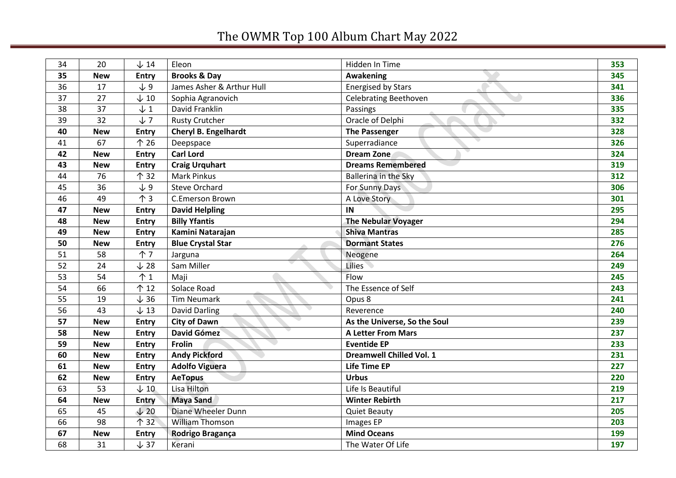## The OWMR Top 100 Album Chart May 2022

| 34 | 20         | $\downarrow$ 14 | Eleon                     | Hidden In Time                  | 353 |
|----|------------|-----------------|---------------------------|---------------------------------|-----|
| 35 | <b>New</b> | <b>Entry</b>    | <b>Brooks &amp; Day</b>   | Awakening                       | 345 |
| 36 | 17         | $\downarrow$ 9  | James Asher & Arthur Hull | <b>Energised by Stars</b>       | 341 |
| 37 | 27         | $\downarrow$ 10 | Sophia Agranovich         | Celebrating Beethoven           | 336 |
| 38 | 37         | $\downarrow$ 1  | David Franklin            | Passings                        | 335 |
| 39 | 32         | $J$ 7           | <b>Rusty Crutcher</b>     | Oracle of Delphi                | 332 |
| 40 | <b>New</b> | <b>Entry</b>    | Cheryl B. Engelhardt      | <b>The Passenger</b>            | 328 |
| 41 | 67         | 个 26            | Deepspace                 | Superradiance                   | 326 |
| 42 | <b>New</b> | <b>Entry</b>    | <b>Carl Lord</b>          | <b>Dream Zone</b>               | 324 |
| 43 | <b>New</b> | <b>Entry</b>    | <b>Craig Urquhart</b>     | <b>Dreams Remembered</b>        | 319 |
| 44 | 76         | 个 32            | <b>Mark Pinkus</b>        | Ballerina in the Sky            | 312 |
| 45 | 36         | $\sqrt{9}$      | <b>Steve Orchard</b>      | For Sunny Days                  | 306 |
| 46 | 49         | $\uparrow$ 3    | C.Emerson Brown           | A Love Story                    | 301 |
| 47 | <b>New</b> | Entry           | <b>David Helpling</b>     | IN                              | 295 |
| 48 | <b>New</b> | <b>Entry</b>    | <b>Billy Yfantis</b>      | <b>The Nebular Voyager</b>      | 294 |
| 49 | <b>New</b> | <b>Entry</b>    | Kamini Natarajan          | <b>Shiva Mantras</b>            | 285 |
| 50 | <b>New</b> | <b>Entry</b>    | <b>Blue Crystal Star</b>  | <b>Dormant States</b>           | 276 |
| 51 | 58         | 个7              | Jarguna                   | Neogene                         | 264 |
| 52 | 24         | $\downarrow$ 28 | Sam Miller                | <b>Lilies</b>                   | 249 |
| 53 | 54         | $\uparrow$ 1    | Maji                      | Flow                            | 245 |
| 54 | 66         | 个 12            | Solace Road               | The Essence of Self             | 243 |
| 55 | 19         | $\downarrow$ 36 | <b>Tim Neumark</b>        | Opus 8                          | 241 |
| 56 | 43         | $\downarrow$ 13 | <b>David Darling</b>      | Reverence                       | 240 |
| 57 | <b>New</b> | <b>Entry</b>    | <b>City of Dawn</b>       | As the Universe, So the Soul    | 239 |
| 58 | <b>New</b> | <b>Entry</b>    | David Gómez               | <b>A Letter From Mars</b>       | 237 |
| 59 | <b>New</b> | <b>Entry</b>    | Frolin                    | <b>Eventide EP</b>              | 233 |
| 60 | <b>New</b> | Entry           | <b>Andy Pickford</b>      | <b>Dreamwell Chilled Vol. 1</b> | 231 |
| 61 | <b>New</b> | <b>Entry</b>    | <b>Adolfo Viguera</b>     | <b>Life Time EP</b>             | 227 |
| 62 | <b>New</b> | <b>Entry</b>    | <b>AeTopus</b>            | <b>Urbus</b>                    | 220 |
| 63 | 53         | $\downarrow$ 10 | Lisa Hilton               | Life Is Beautiful               | 219 |
| 64 | <b>New</b> | <b>Entry</b>    | <b>Maya Sand</b>          | <b>Winter Rebirth</b>           | 217 |
| 65 | 45         | $\sqrt{20}$     | Diane Wheeler Dunn        | <b>Quiet Beauty</b>             | 205 |
| 66 | 98         | 个 32            | <b>William Thomson</b>    | Images EP                       | 203 |
| 67 | <b>New</b> | <b>Entry</b>    | Rodrigo Bragança          | <b>Mind Oceans</b>              | 199 |
| 68 | 31         | $\downarrow$ 37 | Kerani                    | The Water Of Life               | 197 |